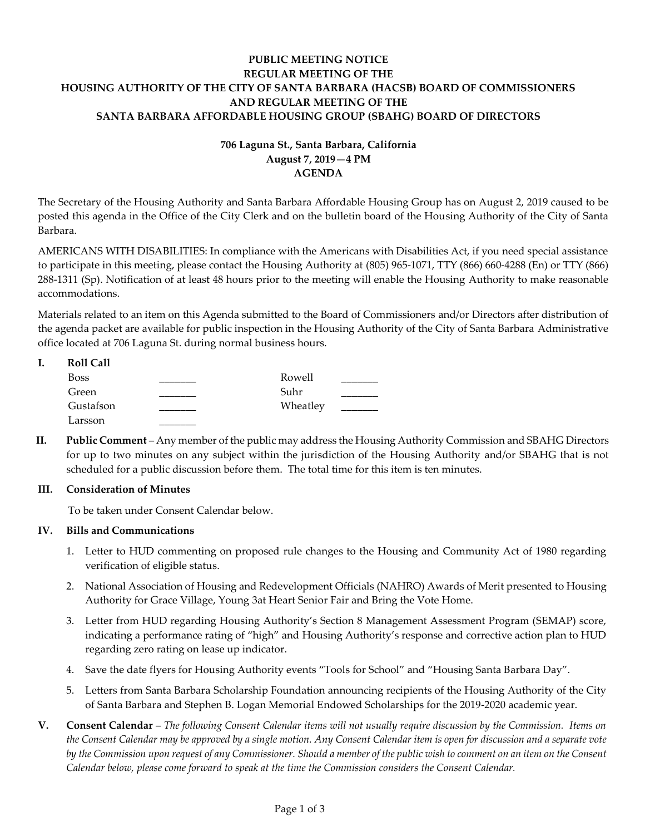# **PUBLIC MEETING NOTICE REGULAR MEETING OF THE HOUSING AUTHORITY OF THE CITY OF SANTA BARBARA (HACSB) BOARD OF COMMISSIONERS AND REGULAR MEETING OF THE SANTA BARBARA AFFORDABLE HOUSING GROUP (SBAHG) BOARD OF DIRECTORS**

# **706 Laguna St., Santa Barbara, California August 7, 2019—4 PM AGENDA**

The Secretary of the Housing Authority and Santa Barbara Affordable Housing Group has on August 2, 2019 caused to be posted this agenda in the Office of the City Clerk and on the bulletin board of the Housing Authority of the City of Santa Barbara.

AMERICANS WITH DISABILITIES: In compliance with the Americans with Disabilities Act, if you need special assistance to participate in this meeting, please contact the Housing Authority at (805) 965-1071, TTY (866) 660-4288 (En) or TTY (866) 288-1311 (Sp). Notification of at least 48 hours prior to the meeting will enable the Housing Authority to make reasonable accommodations.

Materials related to an item on this Agenda submitted to the Board of Commissioners and/or Directors after distribution of the agenda packet are available for public inspection in the Housing Authority of the City of Santa Barbara Administrative office located at 706 Laguna St. during normal business hours.

| <b>Roll Call</b> |          |  |
|------------------|----------|--|
| <b>Boss</b>      | Rowell   |  |
| Green            | Suhr     |  |
| Gustafson        | Wheatley |  |
| Larsson          |          |  |

**II. Public Comment** – Any member of the public may address the Housing Authority Commission and SBAHG Directors for up to two minutes on any subject within the jurisdiction of the Housing Authority and/or SBAHG that is not scheduled for a public discussion before them. The total time for this item is ten minutes.

## **III. Consideration of Minutes**

To be taken under Consent Calendar below.

## **IV. Bills and Communications**

- 1. Letter [to HUD commenting on proposed rule changes to the Housing and Community Act of 1980 regarding](https://hacsb.org/download/meetings_2019/items/08_august/Item-IV.1.pdf)  verification of eligible status.
- 2. [National Association of Housing and Redevelopment Officials \(NAHRO\) Awards of](https://hacsb.org/download/meetings_2019/items/08_august/Item-IV.2.pdf) Merit presented to Housing Authority for Grace Village, Young 3at Heart Senior Fair and Bring the Vote Home.
- 3. [Letter from HUD regarding Housing Authority's Section 8 Management Assessment Program \(SEMAP\) score,](https://hacsb.org/download/meetings_2019/items/08_august/Item-IV.3.pdf)  indicating a performance rating of "high" and Housing Authority's response and corrective action plan to HUD regarding zero rating on lease up indicator.
- 4. Save the date flyers [for Housing Authority events "Tools for School" and "Housing Santa Barbara Day".](https://hacsb.org/download/meetings_2019/items/08_august/Item-IV.4.pdf)
- 5. [Letters from Santa Barbara Scholarship Foundation announcing recipients of the Housing Authority of the City](https://hacsb.org/download/meetings_2019/items/08_august/Item-IV.5.pdf)  of Santa Barbara and Stephen B. Logan Memorial Endowed Scholarships for the 2019-2020 academic year.
- **V. Consent Calendar** *The following Consent Calendar items will not usually require discussion by the Commission. Items on the Consent Calendar may be approved by a single motion. Any Consent Calendar item is open for discussion and a separate vote by the Commission upon request of any Commissioner. Should a member of the public wish to comment on an item on the Consent Calendar below, please come forward to speak at the time the Commission considers the Consent Calendar.*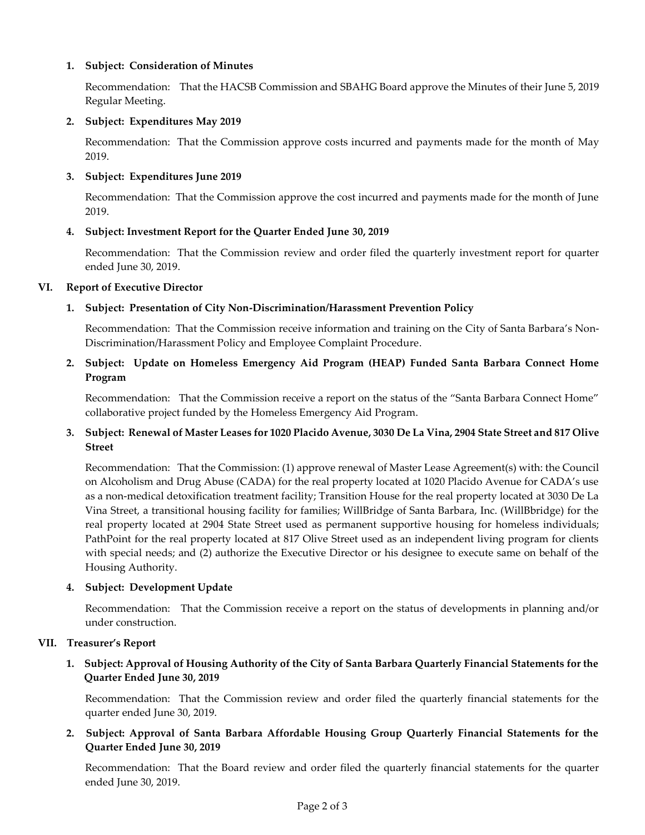## **1. Subject: Consideration of Minutes**

[Recommendation: That the HACSB Commission and SBAHG Board approve the Minutes of their June 5, 2019](https://hacsb.org/download/meetings_2019/items/08_august/Item-V.1.pdf) Regular Meeting.

#### **2. Subject: Expenditures May 2019**

[Recommendation: That the Commission approve costs incurred and payments made for the month of May](https://hacsb.org/download/meetings_2019/items/08_august/Item-V.2.pdf) 2019.

### **3. Subject: Expenditures June 2019**

[Recommendation: That the Commission approve the cost incurred and payments made for the month of June](https://hacsb.org/download/meetings_2019/items/08_august/Item-V.3.pdf)  2019.

### **[4. Subject: Investment Report for the Quarter Ended June](https://hacsb.org/download/meetings_2019/items/08_august/Item-V.4.pdf) 30, 2019**

Recommendation: That the Commission review and order filed the quarterly investment report for quarter ended June 30, 2019.

### **VI. Report of Executive Director**

## **1. [Subject: Presentation of City Non-Discrimination/Harassment Prevention Policy](https://hacsb.org/download/meetings_2019/items/08_august/Item-VI.1.pdf)**

Recommendation: That the Commission receive information and training on the City of Santa Barbara's Non-Discrimination/Harassment Policy and Employee Complaint Procedure.

## **[2. Subject: Update on Homeless Emergency Aid Program \(HEAP\) Funded Santa Barbara Connect Home](https://hacsb.org/download/meetings_2019/items/08_august/Item-VI.2.pdf)  Program**

Recommendation: That the Commission receive a report on the status of the "Santa Barbara Connect Home" collaborative project funded by the Homeless Emergency Aid Program.

# **3. Subject: Renewal of Master Leases for 1020 Placido Avenue, 3030 De La Vina, 2904 State Street and 817 Olive Street**

[Recommendation: That the Commission: \(1\) approve renewal of Master Lease Agreement\(s\) with: the Council](https://hacsb.org/download/meetings_2019/items/08_august/Item-VI.3.pdf)  on Alcoholism and Drug Abuse (CADA) for the real property located at 1020 Placido Avenue for CADA's use as a non-medical detoxification treatment facility; Transition House for the real property located at 3030 De La Vina Street, a transitional housing facility for families; WillBridge of Santa Barbara, Inc. (WillBbridge) for the real property located at 2904 State Street used as permanent supportive housing for homeless individuals; PathPoint for the real property located at 817 Olive Street used as an independent living program for clients with special needs; and (2) authorize the Executive Director or his designee to execute same on behalf of the Housing Authority.

#### **4. Subject: Development Update**

Recommendation: That the Commission receive a report on the status of developments in planning and/or under construction.

#### **VII. Treasurer's Report**

# **[1. Subject: Approval of Housing Authority of the City of Santa Barbara Quarterly Financial Statements for the](https://hacsb.org/download/meetings_2019/items/08_august/Item-VII.1.pdf)  Quarter Ended June 30, 2019**

Recommendation: That the Commission review and order filed the quarterly financial statements for the quarter ended June 30, 2019.

**[2. Subject: Approval of Santa Barbara Affordable Housing Group Quarterly Financial Statements for the](https://hacsb.org/download/meetings_2019/items/08_august/Item-VII.2.pdf)  Quarter Ended June 30, 2019**

Recommendation: That the Board review and order filed the quarterly financial statements for the quarter ended June 30, 2019.